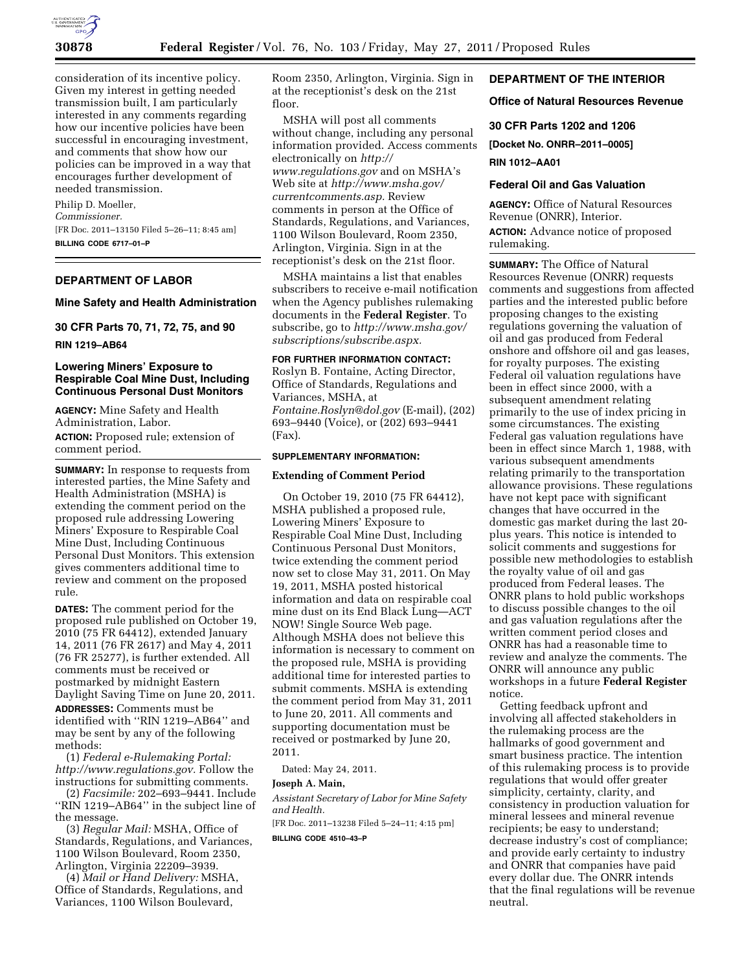

consideration of its incentive policy. Given my interest in getting needed transmission built, I am particularly interested in any comments regarding how our incentive policies have been successful in encouraging investment, and comments that show how our policies can be improved in a way that encourages further development of needed transmission.

Philip D. Moeller, *Commissioner.*  [FR Doc. 2011–13150 Filed 5–26–11; 8:45 am] **BILLING CODE 6717–01–P** 

# **DEPARTMENT OF LABOR**

**Mine Safety and Health Administration** 

# **30 CFR Parts 70, 71, 72, 75, and 90**

**RIN 1219–AB64** 

## **Lowering Miners' Exposure to Respirable Coal Mine Dust, Including Continuous Personal Dust Monitors**

**AGENCY:** Mine Safety and Health Administration, Labor. **ACTION:** Proposed rule; extension of comment period.

**SUMMARY:** In response to requests from interested parties, the Mine Safety and Health Administration (MSHA) is extending the comment period on the proposed rule addressing Lowering Miners' Exposure to Respirable Coal Mine Dust, Including Continuous Personal Dust Monitors. This extension gives commenters additional time to review and comment on the proposed rule.

**DATES:** The comment period for the proposed rule published on October 19, 2010 (75 FR 64412), extended January 14, 2011 (76 FR 2617) and May 4, 2011 (76 FR 25277), is further extended. All comments must be received or postmarked by midnight Eastern Daylight Saving Time on June 20, 2011.

**ADDRESSES:** Comments must be identified with ''RIN 1219–AB64'' and may be sent by any of the following methods:

(1) *Federal e-Rulemaking Portal: [http://www.regulations.gov.](http://www.regulations.gov)* Follow the instructions for submitting comments.

(2) *Facsimile:* 202–693–9441. Include ''RIN 1219–AB64'' in the subject line of the message.

(3) *Regular Mail:* MSHA, Office of Standards, Regulations, and Variances, 1100 Wilson Boulevard, Room 2350, Arlington, Virginia 22209–3939.

(4) *Mail or Hand Delivery:* MSHA, Office of Standards, Regulations, and Variances, 1100 Wilson Boulevard,

Room 2350, Arlington, Virginia. Sign in at the receptionist's desk on the 21st floor.

MSHA will post all comments without change, including any personal information provided. Access comments electronically on *[http://](http://www.regulations.gov) [www.regulations.gov](http://www.regulations.gov)* and on MSHA's Web site at *[http://www.msha.gov/](http://www.msha.gov/currentcomments.asp) [currentcomments.asp.](http://www.msha.gov/currentcomments.asp)* Review comments in person at the Office of Standards, Regulations, and Variances, 1100 Wilson Boulevard, Room 2350, Arlington, Virginia. Sign in at the receptionist's desk on the 21st floor.

MSHA maintains a list that enables subscribers to receive e-mail notification when the Agency publishes rulemaking documents in the **Federal Register**. To subscribe, go to *[http://www.msha.gov/](http://www.msha.gov/subscriptions/subscribe.aspx)  [subscriptions/subscribe.aspx.](http://www.msha.gov/subscriptions/subscribe.aspx)* 

## **FOR FURTHER INFORMATION CONTACT:**

Roslyn B. Fontaine, Acting Director, Office of Standards, Regulations and Variances, MSHA, at *[Fontaine.Roslyn@dol.gov](mailto:Fontaine.Roslyn@dol.gov)* (E-mail), (202) 693–9440 (Voice), or (202) 693–9441 (Fax).

# **SUPPLEMENTARY INFORMATION:**

## **Extending of Comment Period**

On October 19, 2010 (75 FR 64412), MSHA published a proposed rule, Lowering Miners' Exposure to Respirable Coal Mine Dust, Including Continuous Personal Dust Monitors, twice extending the comment period now set to close May 31, 2011. On May 19, 2011, MSHA posted historical information and data on respirable coal mine dust on its End Black Lung—ACT NOW! Single Source Web page. Although MSHA does not believe this information is necessary to comment on the proposed rule, MSHA is providing additional time for interested parties to submit comments. MSHA is extending the comment period from May 31, 2011 to June 20, 2011. All comments and supporting documentation must be received or postmarked by June 20, 2011.

Dated: May 24, 2011.

# **Joseph A. Main,**

*Assistant Secretary of Labor for Mine Safety and Health.* 

[FR Doc. 2011–13238 Filed 5–24–11; 4:15 pm]

**BILLING CODE 4510–43–P** 

## **DEPARTMENT OF THE INTERIOR**

## **Office of Natural Resources Revenue**

#### **30 CFR Parts 1202 and 1206**

**[Docket No. ONRR–2011–0005]** 

**RIN 1012–AA01** 

## **Federal Oil and Gas Valuation**

**AGENCY:** Office of Natural Resources Revenue (ONRR), Interior. **ACTION:** Advance notice of proposed

rulemaking.

**SUMMARY:** The Office of Natural Resources Revenue (ONRR) requests comments and suggestions from affected parties and the interested public before proposing changes to the existing regulations governing the valuation of oil and gas produced from Federal onshore and offshore oil and gas leases, for royalty purposes. The existing Federal oil valuation regulations have been in effect since 2000, with a subsequent amendment relating primarily to the use of index pricing in some circumstances. The existing Federal gas valuation regulations have been in effect since March 1, 1988, with various subsequent amendments relating primarily to the transportation allowance provisions. These regulations have not kept pace with significant changes that have occurred in the domestic gas market during the last 20 plus years. This notice is intended to solicit comments and suggestions for possible new methodologies to establish the royalty value of oil and gas produced from Federal leases. The ONRR plans to hold public workshops to discuss possible changes to the oil and gas valuation regulations after the written comment period closes and ONRR has had a reasonable time to review and analyze the comments. The ONRR will announce any public workshops in a future **Federal Register**  notice.

Getting feedback upfront and involving all affected stakeholders in the rulemaking process are the hallmarks of good government and smart business practice. The intention of this rulemaking process is to provide regulations that would offer greater simplicity, certainty, clarity, and consistency in production valuation for mineral lessees and mineral revenue recipients; be easy to understand; decrease industry's cost of compliance; and provide early certainty to industry and ONRR that companies have paid every dollar due. The ONRR intends that the final regulations will be revenue neutral.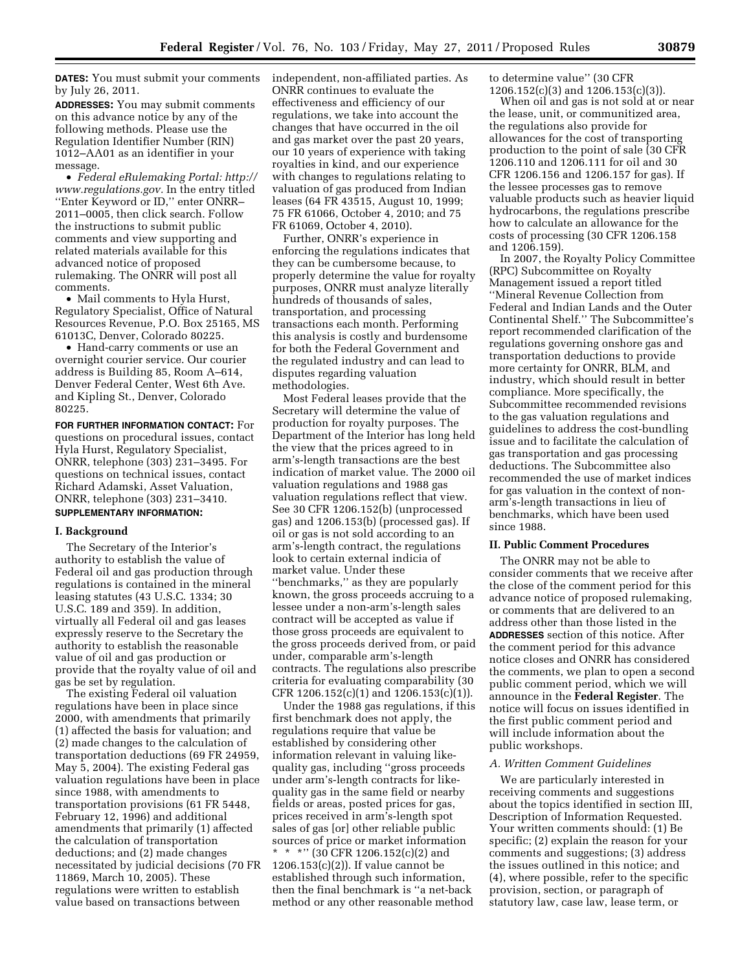**DATES:** You must submit your comments by July 26, 2011.

**ADDRESSES:** You may submit comments on this advance notice by any of the following methods. Please use the Regulation Identifier Number (RIN) 1012–AA01 as an identifier in your message.

• *Federal eRulemaking Portal: [http://](http://www.regulations.gov)  [www.regulations.gov.](http://www.regulations.gov)* In the entry titled ''Enter Keyword or ID,'' enter ONRR– 2011–0005, then click search. Follow the instructions to submit public comments and view supporting and related materials available for this advanced notice of proposed rulemaking. The ONRR will post all comments.

• Mail comments to Hyla Hurst, Regulatory Specialist, Office of Natural Resources Revenue, P.O. Box 25165, MS 61013C, Denver, Colorado 80225.

• Hand-carry comments or use an overnight courier service. Our courier address is Building 85, Room A–614, Denver Federal Center, West 6th Ave. and Kipling St., Denver, Colorado 80225.

**FOR FURTHER INFORMATION CONTACT:** For questions on procedural issues, contact Hyla Hurst, Regulatory Specialist, ONRR, telephone (303) 231–3495. For questions on technical issues, contact Richard Adamski, Asset Valuation, ONRR, telephone (303) 231–3410.

# **SUPPLEMENTARY INFORMATION:**

#### **I. Background**

The Secretary of the Interior's authority to establish the value of Federal oil and gas production through regulations is contained in the mineral leasing statutes (43 U.S.C. 1334; 30 U.S.C. 189 and 359). In addition, virtually all Federal oil and gas leases expressly reserve to the Secretary the authority to establish the reasonable value of oil and gas production or provide that the royalty value of oil and gas be set by regulation.

The existing Federal oil valuation regulations have been in place since 2000, with amendments that primarily (1) affected the basis for valuation; and (2) made changes to the calculation of transportation deductions (69 FR 24959, May 5, 2004). The existing Federal gas valuation regulations have been in place since 1988, with amendments to transportation provisions (61 FR 5448, February 12, 1996) and additional amendments that primarily (1) affected the calculation of transportation deductions; and (2) made changes necessitated by judicial decisions (70 FR 11869, March 10, 2005). These regulations were written to establish value based on transactions between

independent, non-affiliated parties. As ONRR continues to evaluate the effectiveness and efficiency of our regulations, we take into account the changes that have occurred in the oil and gas market over the past 20 years, our 10 years of experience with taking royalties in kind, and our experience with changes to regulations relating to valuation of gas produced from Indian leases (64 FR 43515, August 10, 1999; 75 FR 61066, October 4, 2010; and 75 FR 61069, October 4, 2010).

Further, ONRR's experience in enforcing the regulations indicates that they can be cumbersome because, to properly determine the value for royalty purposes, ONRR must analyze literally hundreds of thousands of sales, transportation, and processing transactions each month. Performing this analysis is costly and burdensome for both the Federal Government and the regulated industry and can lead to disputes regarding valuation methodologies.

Most Federal leases provide that the Secretary will determine the value of production for royalty purposes. The Department of the Interior has long held the view that the prices agreed to in arm's-length transactions are the best indication of market value. The 2000 oil valuation regulations and 1988 gas valuation regulations reflect that view. See 30 CFR 1206.152(b) (unprocessed gas) and 1206.153(b) (processed gas). If oil or gas is not sold according to an arm's-length contract, the regulations look to certain external indicia of market value. Under these ''benchmarks,'' as they are popularly known, the gross proceeds accruing to a lessee under a non-arm's-length sales contract will be accepted as value if those gross proceeds are equivalent to the gross proceeds derived from, or paid under, comparable arm's-length contracts. The regulations also prescribe criteria for evaluating comparability (30 CFR 1206.152(c)(1) and 1206.153(c)(1)).

Under the 1988 gas regulations, if this first benchmark does not apply, the regulations require that value be established by considering other information relevant in valuing likequality gas, including ''gross proceeds under arm's-length contracts for likequality gas in the same field or nearby fields or areas, posted prices for gas, prices received in arm's-length spot sales of gas [or] other reliable public sources of price or market information \* \* \*'' (30 CFR 1206.152(c)(2) and 1206.153(c)(2)). If value cannot be established through such information, then the final benchmark is ''a net-back method or any other reasonable method

to determine value'' (30 CFR 1206.152(c)(3) and 1206.153(c)(3)).

When oil and gas is not sold at or near the lease, unit, or communitized area, the regulations also provide for allowances for the cost of transporting production to the point of sale (30 CFR 1206.110 and 1206.111 for oil and 30 CFR 1206.156 and 1206.157 for gas). If the lessee processes gas to remove valuable products such as heavier liquid hydrocarbons, the regulations prescribe how to calculate an allowance for the costs of processing (30 CFR 1206.158 and 1206.159).

In 2007, the Royalty Policy Committee (RPC) Subcommittee on Royalty Management issued a report titled ''Mineral Revenue Collection from Federal and Indian Lands and the Outer Continental Shelf.'' The Subcommittee's report recommended clarification of the regulations governing onshore gas and transportation deductions to provide more certainty for ONRR, BLM, and industry, which should result in better compliance. More specifically, the Subcommittee recommended revisions to the gas valuation regulations and guidelines to address the cost-bundling issue and to facilitate the calculation of gas transportation and gas processing deductions. The Subcommittee also recommended the use of market indices for gas valuation in the context of nonarm's-length transactions in lieu of benchmarks, which have been used since 1988.

#### **II. Public Comment Procedures**

The ONRR may not be able to consider comments that we receive after the close of the comment period for this advance notice of proposed rulemaking, or comments that are delivered to an address other than those listed in the **ADDRESSES** section of this notice. After the comment period for this advance notice closes and ONRR has considered the comments, we plan to open a second public comment period, which we will announce in the **Federal Register**. The notice will focus on issues identified in the first public comment period and will include information about the public workshops.

#### *A. Written Comment Guidelines*

We are particularly interested in receiving comments and suggestions about the topics identified in section III, Description of Information Requested. Your written comments should: (1) Be specific; (2) explain the reason for your comments and suggestions; (3) address the issues outlined in this notice; and (4), where possible, refer to the specific provision, section, or paragraph of statutory law, case law, lease term, or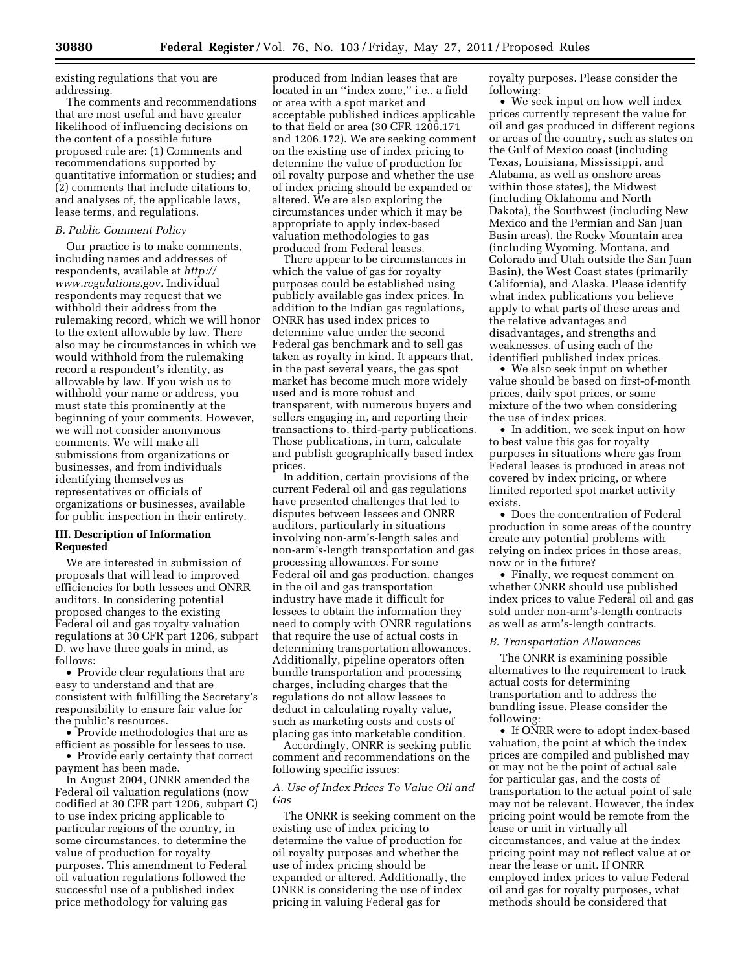existing regulations that you are addressing.

The comments and recommendations that are most useful and have greater likelihood of influencing decisions on the content of a possible future proposed rule are: (1) Comments and recommendations supported by quantitative information or studies; and (2) comments that include citations to, and analyses of, the applicable laws, lease terms, and regulations.

#### *B. Public Comment Policy*

Our practice is to make comments, including names and addresses of respondents, available at *[http://](http://www.regulations.gov) [www.regulations.gov.](http://www.regulations.gov)* Individual respondents may request that we withhold their address from the rulemaking record, which we will honor to the extent allowable by law. There also may be circumstances in which we would withhold from the rulemaking record a respondent's identity, as allowable by law. If you wish us to withhold your name or address, you must state this prominently at the beginning of your comments. However, we will not consider anonymous comments. We will make all submissions from organizations or businesses, and from individuals identifying themselves as representatives or officials of organizations or businesses, available for public inspection in their entirety.

## **III. Description of Information Requested**

We are interested in submission of proposals that will lead to improved efficiencies for both lessees and ONRR auditors. In considering potential proposed changes to the existing Federal oil and gas royalty valuation regulations at 30 CFR part 1206, subpart D, we have three goals in mind, as follows:

• Provide clear regulations that are easy to understand and that are consistent with fulfilling the Secretary's responsibility to ensure fair value for the public's resources.

• Provide methodologies that are as efficient as possible for lessees to use.

• Provide early certainty that correct payment has been made.

In August 2004, ONRR amended the Federal oil valuation regulations (now codified at 30 CFR part 1206, subpart C) to use index pricing applicable to particular regions of the country, in some circumstances, to determine the value of production for royalty purposes. This amendment to Federal oil valuation regulations followed the successful use of a published index price methodology for valuing gas

produced from Indian leases that are located in an ''index zone,'' i.e., a field or area with a spot market and acceptable published indices applicable to that field or area (30 CFR 1206.171 and 1206.172). We are seeking comment on the existing use of index pricing to determine the value of production for oil royalty purpose and whether the use of index pricing should be expanded or altered. We are also exploring the circumstances under which it may be appropriate to apply index-based valuation methodologies to gas produced from Federal leases.

There appear to be circumstances in which the value of gas for royalty purposes could be established using publicly available gas index prices. In addition to the Indian gas regulations, ONRR has used index prices to determine value under the second Federal gas benchmark and to sell gas taken as royalty in kind. It appears that, in the past several years, the gas spot market has become much more widely used and is more robust and transparent, with numerous buyers and sellers engaging in, and reporting their transactions to, third-party publications. Those publications, in turn, calculate and publish geographically based index prices.

In addition, certain provisions of the current Federal oil and gas regulations have presented challenges that led to disputes between lessees and ONRR auditors, particularly in situations involving non-arm's-length sales and non-arm's-length transportation and gas processing allowances. For some Federal oil and gas production, changes in the oil and gas transportation industry have made it difficult for lessees to obtain the information they need to comply with ONRR regulations that require the use of actual costs in determining transportation allowances. Additionally, pipeline operators often bundle transportation and processing charges, including charges that the regulations do not allow lessees to deduct in calculating royalty value, such as marketing costs and costs of placing gas into marketable condition.

Accordingly, ONRR is seeking public comment and recommendations on the following specific issues:

## *A. Use of Index Prices To Value Oil and Gas*

The ONRR is seeking comment on the existing use of index pricing to determine the value of production for oil royalty purposes and whether the use of index pricing should be expanded or altered. Additionally, the ONRR is considering the use of index pricing in valuing Federal gas for

royalty purposes. Please consider the following:

• We seek input on how well index prices currently represent the value for oil and gas produced in different regions or areas of the country, such as states on the Gulf of Mexico coast (including Texas, Louisiana, Mississippi, and Alabama, as well as onshore areas within those states), the Midwest (including Oklahoma and North Dakota), the Southwest (including New Mexico and the Permian and San Juan Basin areas), the Rocky Mountain area (including Wyoming, Montana, and Colorado and Utah outside the San Juan Basin), the West Coast states (primarily California), and Alaska. Please identify what index publications you believe apply to what parts of these areas and the relative advantages and disadvantages, and strengths and weaknesses, of using each of the identified published index prices.

• We also seek input on whether value should be based on first-of-month prices, daily spot prices, or some mixture of the two when considering the use of index prices.

• In addition, we seek input on how to best value this gas for royalty purposes in situations where gas from Federal leases is produced in areas not covered by index pricing, or where limited reported spot market activity exists.

• Does the concentration of Federal production in some areas of the country create any potential problems with relying on index prices in those areas, now or in the future?

• Finally, we request comment on whether ONRR should use published index prices to value Federal oil and gas sold under non-arm's-length contracts as well as arm's-length contracts.

#### *B. Transportation Allowances*

The ONRR is examining possible alternatives to the requirement to track actual costs for determining transportation and to address the bundling issue. Please consider the following:

• If ONRR were to adopt index-based valuation, the point at which the index prices are compiled and published may or may not be the point of actual sale for particular gas, and the costs of transportation to the actual point of sale may not be relevant. However, the index pricing point would be remote from the lease or unit in virtually all circumstances, and value at the index pricing point may not reflect value at or near the lease or unit. If ONRR employed index prices to value Federal oil and gas for royalty purposes, what methods should be considered that